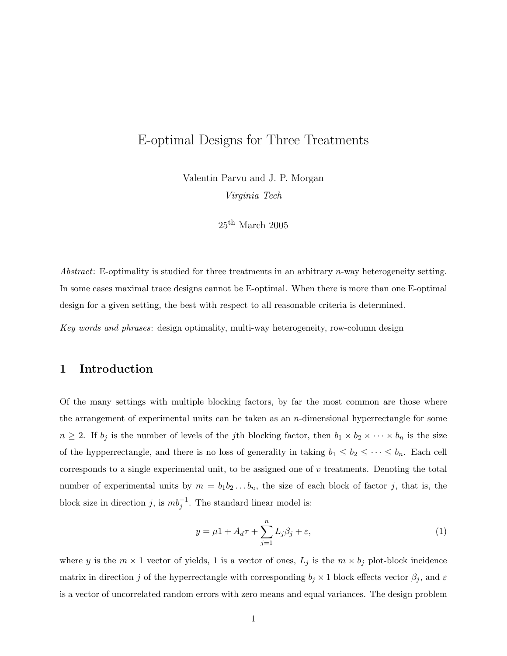# E-optimal Designs for Three Treatments

Valentin Parvu and J. P. Morgan Virginia Tech

 $25<sup>th</sup>$  March 2005

Abstract: E-optimality is studied for three treatments in an arbitrary  $n$ -way heterogeneity setting. In some cases maximal trace designs cannot be E-optimal. When there is more than one E-optimal design for a given setting, the best with respect to all reasonable criteria is determined.

Key words and phrases: design optimality, multi-way heterogeneity, row-column design

# 1 Introduction

Of the many settings with multiple blocking factors, by far the most common are those where the arrangement of experimental units can be taken as an  $n$ -dimensional hyperrectangle for some  $n \geq 2$ . If  $b_j$  is the number of levels of the *j*th blocking factor, then  $b_1 \times b_2 \times \cdots \times b_n$  is the size of the hypperrectangle, and there is no loss of generality in taking  $b_1 \leq b_2 \leq \cdots \leq b_n$ . Each cell corresponds to a single experimental unit, to be assigned one of  $v$  treatments. Denoting the total number of experimental units by  $m = b_1b_2...b_n$ , the size of each block of factor j, that is, the block size in direction j, is  $mb_j^{-1}$ . The standard linear model is:

$$
y = \mu 1 + A_d \tau + \sum_{j=1}^{n} L_j \beta_j + \varepsilon,\tag{1}
$$

where y is the  $m \times 1$  vector of yields, 1 is a vector of ones,  $L_j$  is the  $m \times b_j$  plot-block incidence matrix in direction j of the hyperrectangle with corresponding  $b_j \times 1$  block effects vector  $\beta_j$ , and  $\varepsilon$ is a vector of uncorrelated random errors with zero means and equal variances. The design problem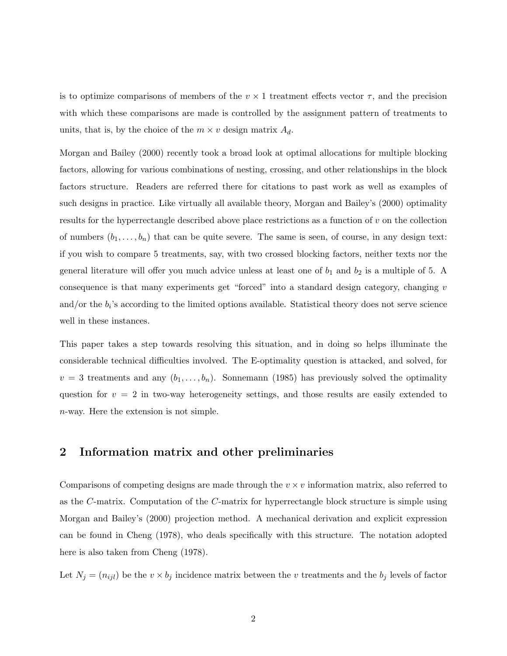is to optimize comparisons of members of the  $v \times 1$  treatment effects vector  $\tau$ , and the precision with which these comparisons are made is controlled by the assignment pattern of treatments to units, that is, by the choice of the  $m \times v$  design matrix  $A_d$ .

Morgan and Bailey (2000) recently took a broad look at optimal allocations for multiple blocking factors, allowing for various combinations of nesting, crossing, and other relationships in the block factors structure. Readers are referred there for citations to past work as well as examples of such designs in practice. Like virtually all available theory, Morgan and Bailey's (2000) optimality results for the hyperrectangle described above place restrictions as a function of v on the collection of numbers  $(b_1, \ldots, b_n)$  that can be quite severe. The same is seen, of course, in any design text: if you wish to compare 5 treatments, say, with two crossed blocking factors, neither texts nor the general literature will offer you much advice unless at least one of  $b_1$  and  $b_2$  is a multiple of 5. A consequence is that many experiments get "forced" into a standard design category, changing v and/or the  $b_i$ 's according to the limited options available. Statistical theory does not serve science well in these instances.

This paper takes a step towards resolving this situation, and in doing so helps illuminate the considerable technical difficulties involved. The E-optimality question is attacked, and solved, for  $v = 3$  treatments and any  $(b_1, \ldots, b_n)$ . Sonnemann (1985) has previously solved the optimality question for  $v = 2$  in two-way heterogeneity settings, and those results are easily extended to n-way. Here the extension is not simple.

## 2 Information matrix and other preliminaries

Comparisons of competing designs are made through the  $v \times v$  information matrix, also referred to as the C-matrix. Computation of the C-matrix for hyperrectangle block structure is simple using Morgan and Bailey's (2000) projection method. A mechanical derivation and explicit expression can be found in Cheng (1978), who deals specifically with this structure. The notation adopted here is also taken from Cheng (1978).

Let  $N_j = (n_{ijl})$  be the  $v \times b_j$  incidence matrix between the v treatments and the  $b_j$  levels of factor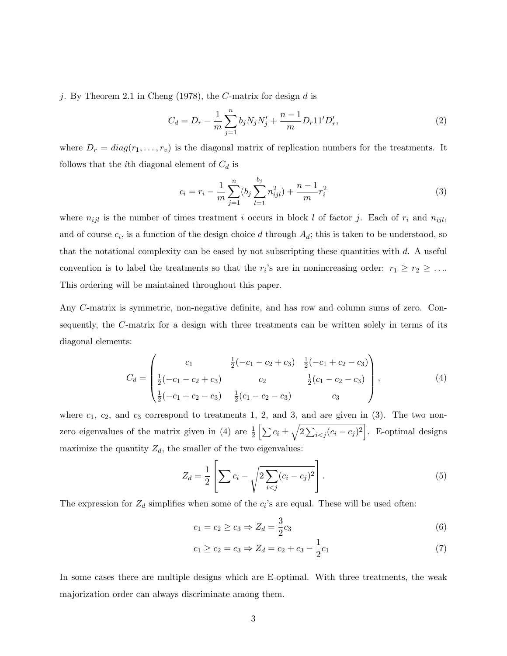j. By Theorem 2.1 in Cheng (1978), the  $C$ -matrix for design  $d$  is

$$
C_d = D_r - \frac{1}{m} \sum_{j=1}^n b_j N_j N'_j + \frac{n-1}{m} D_r 11' D'_r,\tag{2}
$$

where  $D_r = diag(r_1, \ldots, r_v)$  is the diagonal matrix of replication numbers for the treatments. It follows that the *i*th diagonal element of  $C_d$  is

$$
c_i = r_i - \frac{1}{m} \sum_{j=1}^{n} (b_j \sum_{l=1}^{b_j} n_{ijl}^2) + \frac{n-1}{m} r_i^2
$$
 (3)

where  $n_{ijl}$  is the number of times treatment i occurs in block l of factor j. Each of  $r_i$  and  $n_{ijl}$ , and of course  $c_i$ , is a function of the design choice d through  $A_d$ ; this is taken to be understood, so that the notational complexity can be eased by not subscripting these quantities with d. A useful convention is to label the treatments so that the  $r_i$ 's are in nonincreasing order:  $r_1 \ge r_2 \ge \ldots$ This ordering will be maintained throughout this paper.

Any C-matrix is symmetric, non-negative definite, and has row and column sums of zero. Consequently, the C-matrix for a design with three treatments can be written solely in terms of its diagonal elements:

$$
C_d = \begin{pmatrix} c_1 & \frac{1}{2}(-c_1 - c_2 + c_3) & \frac{1}{2}(-c_1 + c_2 - c_3) \\ \frac{1}{2}(-c_1 - c_2 + c_3) & c_2 & \frac{1}{2}(c_1 - c_2 - c_3) \\ \frac{1}{2}(-c_1 + c_2 - c_3) & \frac{1}{2}(c_1 - c_2 - c_3) & c_3 \end{pmatrix},
$$
(4)

where  $c_1, c_2$ , and  $c_3$  correspond to treatments 1, 2, and 3, and are given in (3). The two nonzero eigenvalues of the matrix given in (4) are  $\frac{1}{2} \left[ \sum c_i \pm \sqrt{\frac{c_i^2}{c_i^2}} \right]$ 2  $\overline{ }$  $_{i < j} (c_i - c_j)^2$ ..<br>7 . E-optimal designs maximize the quantity  $Z_d$ , the smaller of the two eigenvalues:

$$
Z_d = \frac{1}{2} \left[ \sum c_i - \sqrt{2 \sum_{i < j} (c_i - c_j)^2} \right]. \tag{5}
$$

The expression for  $Z_d$  simplifies when some of the  $c_i$ 's are equal. These will be used often:

$$
c_1 = c_2 \ge c_3 \Rightarrow Z_d = \frac{3}{2}c_3 \tag{6}
$$

$$
c_1 \ge c_2 = c_3 \Rightarrow Z_d = c_2 + c_3 - \frac{1}{2}c_1 \tag{7}
$$

In some cases there are multiple designs which are E-optimal. With three treatments, the weak majorization order can always discriminate among them.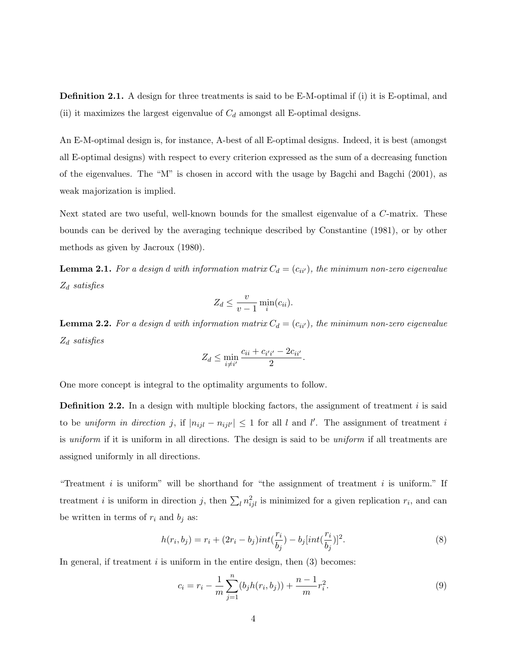Definition 2.1. A design for three treatments is said to be E-M-optimal if (i) it is E-optimal, and (ii) it maximizes the largest eigenvalue of  $C_d$  amongst all E-optimal designs.

An E-M-optimal design is, for instance, A-best of all E-optimal designs. Indeed, it is best (amongst all E-optimal designs) with respect to every criterion expressed as the sum of a decreasing function of the eigenvalues. The "M" is chosen in accord with the usage by Bagchi and Bagchi (2001), as weak majorization is implied.

Next stated are two useful, well-known bounds for the smallest eigenvalue of a C-matrix. These bounds can be derived by the averaging technique described by Constantine (1981), or by other methods as given by Jacroux (1980).

**Lemma 2.1.** For a design d with information matrix  $C_d = (c_{ii'})$ , the minimum non-zero eigenvalue  $Z_d$  satisfies

$$
Z_d \leq \frac{v}{v-1} \min_i (c_{ii}).
$$

**Lemma 2.2.** For a design d with information matrix  $C_d = (c_{ii'})$ , the minimum non-zero eigenvalue  $Z_d$  satisfies

$$
Z_d \le \min_{i \neq i'} \frac{c_{ii} + c_{i'i'} - 2c_{ii'}}{2}.
$$

One more concept is integral to the optimality arguments to follow.

**Definition 2.2.** In a design with multiple blocking factors, the assignment of treatment i is said to be uniform in direction j, if  $|n_{ijl} - n_{ijl'}| \leq 1$  for all l and l'. The assignment of treatment i is *uniform* if it is uniform in all directions. The design is said to be *uniform* if all treatments are assigned uniformly in all directions.

"Treatment  $i$  is uniform" will be shorthand for "the assignment of treatment  $i$  is uniform." If treatment *i* is uniform in direction *j*, then  $\sum_l n_{ijl}^2$  is minimized for a given replication  $r_i$ , and can be written in terms of  $r_i$  and  $b_j$  as:

$$
h(r_i, b_j) = r_i + (2r_i - b_j)int(\frac{r_i}{b_j}) - b_j(int(\frac{r_i}{b_j}))^2.
$$
 (8)

In general, if treatment  $i$  is uniform in the entire design, then  $(3)$  becomes:

$$
c_i = r_i - \frac{1}{m} \sum_{j=1}^{n} (b_j h(r_i, b_j)) + \frac{n-1}{m} r_i^2.
$$
 (9)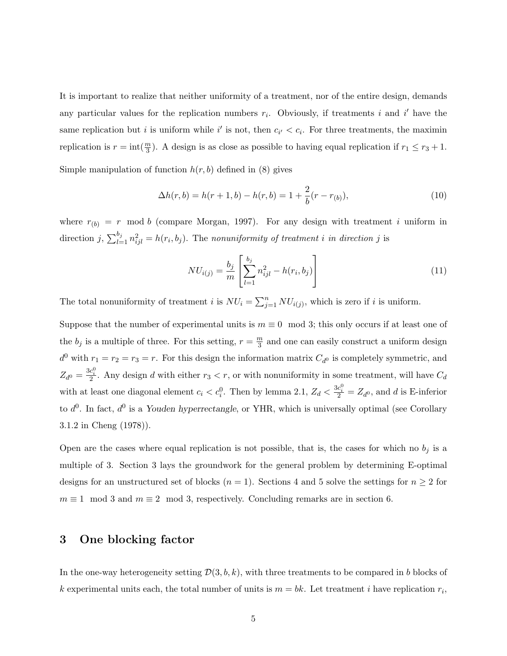It is important to realize that neither uniformity of a treatment, nor of the entire design, demands any particular values for the replication numbers  $r_i$ . Obviously, if treatments i and i' have the same replication but *i* is uniform while i' is not, then  $c_{i'} < c_i$ . For three treatments, the maximin replication is  $r = \text{int}(\frac{m}{3})$ . A design is as close as possible to having equal replication if  $r_1 \le r_3 + 1$ . Simple manipulation of function  $h(r, b)$  defined in (8) gives

$$
\Delta h(r, b) = h(r + 1, b) - h(r, b) = 1 + \frac{2}{b}(r - r_{(b)}),
$$
\n(10)

where  $r_{(b)} = r$  mod b (compare Morgan, 1997). For any design with treatment i uniform in direction j,  $\sum_{l=1}^{b_j}$  $\sum_{l=1}^{b_j} n_{ijl}^2 = h(r_i, b_j)$ . The nonuniformity of treatment i in direction j is

$$
NU_{i(j)} = \frac{b_j}{m} \left[ \sum_{l=1}^{b_j} n_{ijl}^2 - h(r_i, b_j) \right]
$$
 (11)

The total nonuniformity of treatment *i* is  $NU_i = \sum_{i=1}^{n}$  $\sum_{j=1}^{n} NU_{i(j)}$ , which is zero if i is uniform.

Suppose that the number of experimental units is  $m \equiv 0 \mod 3$ ; this only occurs if at least one of the  $b_j$  is a multiple of three. For this setting,  $r = \frac{m}{3}$  $\frac{m}{3}$  and one can easily construct a uniform design  $d^0$  with  $r_1 = r_2 = r_3 = r$ . For this design the information matrix  $C_{d^0}$  is completely symmetric, and  $Z_{d^0} = \frac{3c_i^0}{2}$ . Any design d with either  $r_3 < r$ , or with nonuniformity in some treatment, will have  $C_d$ with at least one diagonal element  $c_i < c_i^0$ . Then by lemma 2.1,  $Z_d < \frac{3c_i^0}{2} = Z_{d^0}$ , and d is E-inferior to  $d^0$ . In fact,  $d^0$  is a Youden hyperrectangle, or YHR, which is universally optimal (see Corollary 3.1.2 in Cheng (1978)).

Open are the cases where equal replication is not possible, that is, the cases for which no  $b_j$  is a multiple of 3. Section 3 lays the groundwork for the general problem by determining E-optimal designs for an unstructured set of blocks  $(n = 1)$ . Sections 4 and 5 solve the settings for  $n \geq 2$  for  $m \equiv 1 \mod 3$  and  $m \equiv 2 \mod 3$ , respectively. Concluding remarks are in section 6.

# 3 One blocking factor

In the one-way heterogeneity setting  $\mathcal{D}(3, b, k)$ , with three treatments to be compared in b blocks of k experimental units each, the total number of units is  $m = bk$ . Let treatment i have replication  $r_i$ ,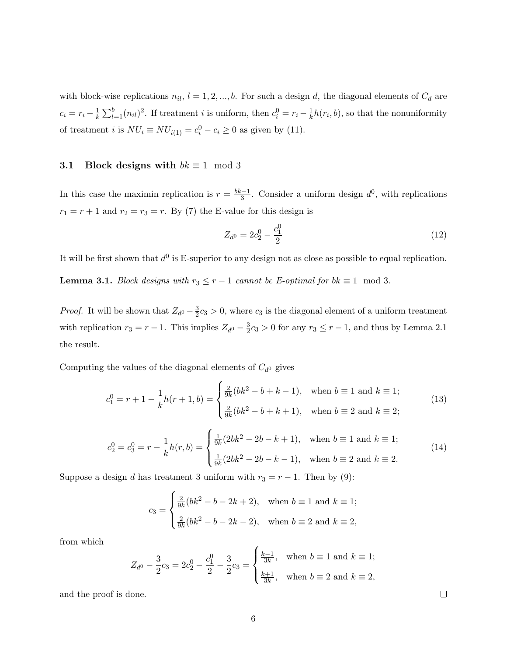with block-wise replications  $n_{il}$ ,  $l = 1, 2, ..., b$ . For such a design d, the diagonal elements of  $C_d$  are  $c_i = r_i - \frac{1}{k}$  $\overline{k}$  $\overline{\nabla^b}$  $\binom{b}{l=1}(n_{il})^2$ . If treatment *i* is uniform, then  $c_i^0 = r_i - \frac{1}{k}$  $\frac{1}{k}h(r_i, b)$ , so that the nonuniformity of treatment *i* is  $NU_i \equiv NU_{i(1)} = c_i^0 - c_i \ge 0$  as given by (11).

#### 3.1 Block designs with  $bk \equiv 1 \mod 3$

In this case the maximin replication is  $r = \frac{bk-1}{3}$  $\frac{3}{3}$ . Consider a uniform design  $d^0$ , with replications  $r_1 = r + 1$  and  $r_2 = r_3 = r$ . By (7) the E-value for this design is

$$
Z_{d^0} = 2c_2^0 - \frac{c_1^0}{2} \tag{12}
$$

It will be first shown that  $d^0$  is E-superior to any design not as close as possible to equal replication.

**Lemma 3.1.** Block designs with  $r_3 \le r - 1$  cannot be E-optimal for  $bk \equiv 1 \mod 3$ .

*Proof.* It will be shown that  $Z_{d^0} - \frac{3}{2}$  $\frac{3}{2}c_3 > 0$ , where  $c_3$  is the diagonal element of a uniform treatment with replication  $r_3 = r - 1$ . This implies  $Z_{d^0} - \frac{3}{2}$  $\frac{3}{2}c_3 > 0$  for any  $r_3 \leq r - 1$ , and thus by Lemma 2.1 the result.

Computing the values of the diagonal elements of  $C_{d^0}$  gives

$$
c_1^0 = r + 1 - \frac{1}{k}h(r+1,b) = \begin{cases} \frac{2}{9k}(bk^2 - b + k - 1), & \text{when } b \equiv 1 \text{ and } k \equiv 1; \\ \frac{2}{9k}(bk^2 - b + k + 1), & \text{when } b \equiv 2 \text{ and } k \equiv 2; \end{cases}
$$
(13)  

$$
c_2^0 = c_3^0 = r - \frac{1}{k}h(r,b) = \begin{cases} \frac{1}{9k}(2bk^2 - 2b - k + 1), & \text{when } b \equiv 1 \text{ and } k \equiv 1; \\ \frac{1}{9k}(2bk^2 - 2b - k - 1), & \text{when } b \equiv 2 \text{ and } k \equiv 2. \end{cases}
$$
(14)

Suppose a design d has treatment 3 uniform with  $r_3 = r - 1$ . Then by (9):

$$
c_3 = \begin{cases} \frac{2}{9k}(bk^2 - b - 2k + 2), & \text{when } b \equiv 1 \text{ and } k \equiv 1; \\ \frac{2}{9k}(bk^2 - b - 2k - 2), & \text{when } b \equiv 2 \text{ and } k \equiv 2, \end{cases}
$$

from which

$$
Z_{d^0} - \frac{3}{2}c_3 = 2c_2^0 - \frac{c_1^0}{2} - \frac{3}{2}c_3 = \begin{cases} \frac{k-1}{3k}, & \text{when } b \equiv 1 \text{ and } k \equiv 1; \\ \frac{k+1}{3k}, & \text{when } b \equiv 2 \text{ and } k \equiv 2, \end{cases}
$$

 $\overline{a}$ 

and the proof is done.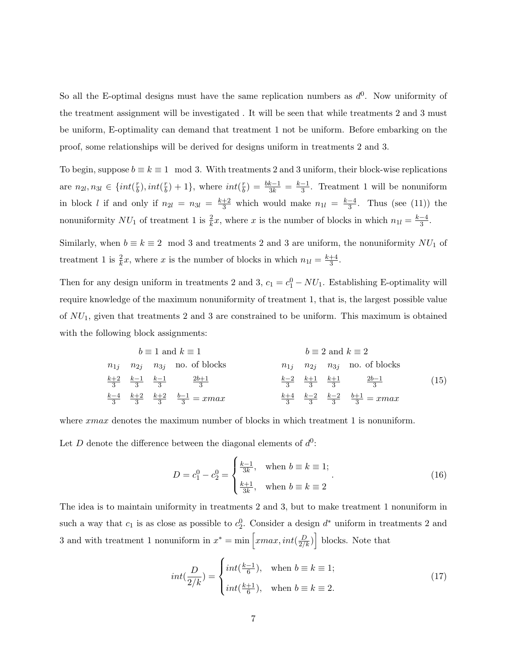So all the E-optimal designs must have the same replication numbers as  $d^0$ . Now uniformity of the treatment assignment will be investigated . It will be seen that while treatments 2 and 3 must be uniform, E-optimality can demand that treatment 1 not be uniform. Before embarking on the proof, some relationships will be derived for designs uniform in treatments 2 and 3.

To begin, suppose  $b \equiv k \equiv 1 \mod 3$ . With treatments 2 and 3 uniform, their block-wise replications are  $n_{2l}, n_{3l} \in \{int(\frac{r}{b})$  $(\frac{r}{b}), int(\frac{r}{b})$  $(\frac{r}{b})+1$ , where  $int(\frac{r}{b})$  $\frac{r}{b}) = \frac{bk-1}{3k} = \frac{k-1}{3}$  $\frac{-1}{3}$ . Treatment 1 will be nonuniform in block l if and only if  $n_{2l} = n_{3l} = \frac{k+2}{3}$  which would make  $n_{1l} = \frac{k-4}{3}$  $\frac{-4}{3}$ . Thus (see (11)) the nonuniformity  $NU_1$  of treatment 1 is  $\frac{2}{k}x$ , where x is the number of blocks in which  $n_{1l} = \frac{k-4}{3}$  $\frac{-4}{3}$ .

Similarly, when  $b \equiv k \equiv 2 \mod 3$  and treatments 2 and 3 are uniform, the nonuniformity  $NU_1$  of treatment 1 is  $\frac{2}{k}x$ , where x is the number of blocks in which  $n_{1l} = \frac{k+4}{3}$  $\frac{+4}{3}$ .

Then for any design uniform in treatments 2 and 3,  $c_1 = c_1^0 - NU_1$ . Establishing E-optimality will require knowledge of the maximum nonuniformity of treatment 1, that is, the largest possible value of  $NU_1$ , given that treatments 2 and 3 are constrained to be uniform. This maximum is obtained with the following block assignments:

$$
b \equiv 1 \text{ and } k \equiv 1
$$
\n
$$
n_{1j} \quad n_{2j} \quad n_{3j} \quad \text{no. of blocks}
$$
\n
$$
\frac{k+2}{3} \quad \frac{k-1}{3} \quad \frac{k-1}{3} \quad \frac{2b+1}{3} \quad \frac{k-2}{3} \quad \frac{k+1}{3} \quad \frac{k+1}{3} \quad \frac{k+2}{3} \quad \frac{k+2}{3} \quad \frac{k+2}{3} \quad \frac{k+2}{3} \quad \frac{k+2}{3} \quad \frac{k+2}{3} \quad \frac{k+3}{3} \quad \frac{k+4}{3} \quad \frac{k-2}{3} \quad \frac{k+3}{3} \quad \frac{k+4}{3} \quad \frac{k-2}{3} \quad \frac{k+4}{3} \quad \frac{k+2}{3} \quad \frac{k+3}{3} \quad \frac{k+4}{3} \quad \frac{k+3}{3} \quad \frac{k+4}{3} \quad \frac{k+5}{3} \quad \frac{k+5}{3} \quad \frac{k+3}{3} \quad \frac{k+4}{3} \quad \frac{k+3}{3} \quad \frac{k+5}{3} \quad \frac{k+3}{3} \quad \frac{k+4}{3} \quad \frac{k+5}{3} \quad \frac{k+3}{3} \quad \frac{k+3}{3} \quad \frac{k+3}{3} \quad \frac{k+3}{3} \quad \frac{k+3}{3} \quad \frac{k+3}{3} \quad \frac{k+3}{3} \quad \frac{k+3}{3} \quad \frac{k+3}{3} \quad \frac{k+3}{3} \quad \frac{k+3}{3} \quad \frac{k+3}{3} \quad \frac{k+3}{3} \quad \frac{k+3}{3} \quad \frac{k+3}{3} \quad \frac{k+3}{3} \quad \frac{k+3}{3} \quad \frac{k+3}{3} \quad \frac{k+3}{3} \quad \frac{k+3}{3} \quad \frac{k+3}{3} \quad \frac{k+3}{3} \quad \frac{k+3}{3} \quad \frac{k+3}{3} \quad \frac{k+3}{3} \quad \frac{k+3}{3} \quad \frac{k+3}{3} \quad \frac{k+3}{3} \quad \frac{k+3}{3} \quad \frac{k+3}{3} \quad \frac{k+3}{3} \quad \frac{k+3}{3} \quad \frac{k+3}{3} \quad \frac{k+3}{3} \quad \frac{k+3}{3} \quad \frac{k+3
$$

where xmax denotes the maximum number of blocks in which treatment 1 is nonuniform. Let D denote the difference between the diagonal elements of  $d^0$ :

$$
D = c_1^0 - c_2^0 = \begin{cases} \frac{k-1}{3k}, & \text{when } b \equiv k \equiv 1; \\ \frac{k+1}{3k}, & \text{when } b \equiv k \equiv 2 \end{cases}
$$
 (16)

The idea is to maintain uniformity in treatments 2 and 3, but to make treatment 1 nonuniform in such a way that  $c_1$  is as close as possible to  $c_2^0$ . Consider a design  $d^*$  uniform in treatments 2 and 3 and with treatment 1 nonuniform in  $x^* = \min \left[ xmax, int(\frac{D}{2/k}) \right]$  blocks. Note that י<br>ד

$$
int(\frac{D}{2/k}) = \begin{cases} int(\frac{k-1}{6}), & \text{when } b \equiv k \equiv 1; \\ int(\frac{k+1}{6}), & \text{when } b \equiv k \equiv 2. \end{cases}
$$
 (17)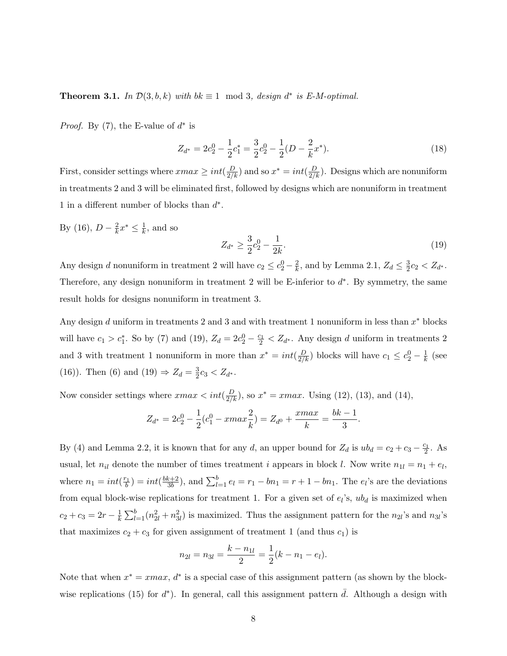**Theorem 3.1.** In  $\mathcal{D}(3, b, k)$  with  $bk \equiv 1 \mod 3$ , design  $d^*$  is E-M-optimal.

*Proof.* By (7), the E-value of  $d^*$  is

$$
Z_{d^*} = 2c_2^0 - \frac{1}{2}c_1^* = \frac{3}{2}c_2^0 - \frac{1}{2}(D - \frac{2}{k}x^*).
$$
 (18)

First, consider settings where  $xmax \ge int(\frac{D}{2/k})$  and so  $x^* = int(\frac{D}{2/k})$ . Designs which are nonuniform in treatments 2 and 3 will be eliminated first, followed by designs which are nonuniform in treatment 1 in a different number of blocks than  $d^*$ .

By (16),  $D - \frac{2}{k}$  $\frac{2}{k}x^* \leq \frac{1}{k}$  $\frac{1}{k}$ , and so

$$
Z_{d^*} \ge \frac{3}{2}c_2^0 - \frac{1}{2k}.\tag{19}
$$

Any design d nonuniform in treatment 2 will have  $c_2 \leq c_2^0 - \frac{2}{k}$  $\frac{2}{k}$ , and by Lemma 2.1,  $Z_d \leq \frac{3}{2}$  $\frac{3}{2}c_2 < Z_{d^*}.$ Therefore, any design nonuniform in treatment 2 will be E-inferior to  $d^*$ . By symmetry, the same result holds for designs nonuniform in treatment 3.

Any design d uniform in treatments 2 and 3 and with treatment 1 nonuniform in less than  $x^*$  blocks will have  $c_1 > c_1^*$ . So by (7) and (19),  $Z_d = 2c_2^0 - \frac{c_1}{2} < Z_{d^*}$ . Any design d uniform in treatments 2 and 3 with treatment 1 nonuniform in more than  $x^* = int(\frac{D}{2/k})$  blocks will have  $c_1 \leq c_2^0 - \frac{1}{k}$  $\frac{1}{k}$  (see (16)). Then (6) and (19)  $\Rightarrow Z_d = \frac{3}{2}$  $\frac{3}{2}c_3 < Z_{d^*}.$ 

Now consider settings where  $xmax < int(\frac{D}{2/k})$ , so  $x^* = xmax$ . Using (12), (13), and (14),

$$
Z_{d^*} = 2c_2^0 - \frac{1}{2}(c_1^0 - xmax\frac{2}{k}) = Z_{d^0} + \frac{xmax}{k} = \frac{bk - 1}{3}.
$$

By (4) and Lemma 2.2, it is known that for any d, an upper bound for  $Z_d$  is  $ub_d = c_2 + c_3 - \frac{c_1}{2}$ . As usual, let  $n_{il}$  denote the number of times treatment i appears in block l. Now write  $n_{1l} = n_1 + e_l$ , where  $n_1 = int(\frac{r_1}{b}) = int(\frac{bk+2}{3b})$  $(\frac{k+2}{3b})$ , and  $\sum_{l=1}^{b} e_l = r_1 - bn_1 = r + 1 - bn_1$ . The  $e_l$ 's are the deviations from equal block-wise replications for treatment 1. For a given set of  $e_i$ 's,  $ub_d$  is maximized when  $c_2 + c_3 = 2r - \frac{1}{k}$  $\overline{k}$  $\overline{\nabla^b}$  $\frac{b}{l=1}(n_{2l}^2+n_{3l}^2)$  is maximized. Thus the assignment pattern for the  $n_{2l}$ 's and  $n_{3l}$ 's that maximizes  $c_2 + c_3$  for given assignment of treatment 1 (and thus  $c_1$ ) is

$$
n_{2l} = n_{3l} = \frac{k - n_{1l}}{2} = \frac{1}{2}(k - n_1 - e_l).
$$

Note that when  $x^* = xmax$ ,  $d^*$  is a special case of this assignment pattern (as shown by the blockwise replications (15) for  $d^*$ ). In general, call this assignment pattern  $\bar{d}$ . Although a design with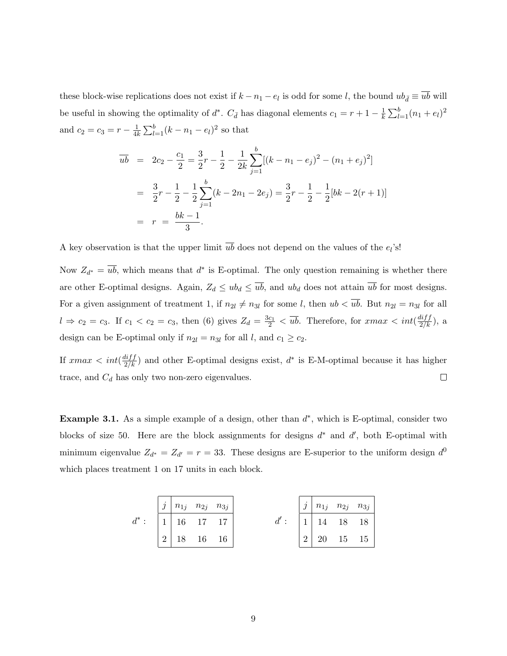these block-wise replications does not exist if  $k - n_1 - e_l$  is odd for some l, the bound  $ub_{\bar{d}} \equiv \overline{ub}$  will be useful in showing the optimality of  $d^*$ .  $C_{\bar{d}}$  has diagonal elements  $c_1 = r + 1 - \frac{1}{k}$ k  $\overline{\nabla^b}$  $_{l=1}^{b}(n_1+e_l)^2$ and  $c_2 = c_3 = r - \frac{1}{4l}$  $\overline{4k}$  $\overline{\nabla^b}$  $\frac{b}{l=1}(k-n_1-e_l)^2$  so that

$$
\overline{ub} = 2c_2 - \frac{c_1}{2} = \frac{3}{2}r - \frac{1}{2} - \frac{1}{2k} \sum_{j=1}^{b} [(k - n_1 - e_j)^2 - (n_1 + e_j)^2]
$$
  
=  $\frac{3}{2}r - \frac{1}{2} - \frac{1}{2} \sum_{j=1}^{b} (k - 2n_1 - 2e_j) = \frac{3}{2}r - \frac{1}{2} - \frac{1}{2}[bk - 2(r+1)]$   
=  $r = \frac{bk - 1}{3}$ .

A key observation is that the upper limit  $\overline{ub}$  does not depend on the values of the  $e_l$ 's!

Now  $Z_{d^*} = \overline{ub}$ , which means that  $d^*$  is E-optimal. The only question remaining is whether there are other E-optimal designs. Again,  $Z_d \leq ub_d \leq \overline{ub}$ , and  $ub_d$  does not attain  $\overline{ub}$  for most designs. For a given assignment of treatment 1, if  $n_{2l} \neq n_{3l}$  for some l, then  $ub < u\overline{b}$ . But  $n_{2l} = n_{3l}$  for all  $l \Rightarrow c_2 = c_3$ . If  $c_1 < c_2 = c_3$ , then (6) gives  $Z_d = \frac{3c_1}{2} < \overline{ub}$ . Therefore, for  $xmax < int(\frac{diff}{2/k})$ , a design can be E-optimal only if  $n_{2l} = n_{3l}$  for all l, and  $c_1 \ge c_2$ .

If  $xmax < int(\frac{diff}{2/k})$  and other E-optimal designs exist,  $d^*$  is E-M-optimal because it has higher  $\Box$ trace, and  $C_d$  has only two non-zero eigenvalues.

**Example 3.1.** As a simple example of a design, other than  $d^*$ , which is E-optimal, consider two blocks of size 50. Here are the block assignments for designs  $d^*$  and  $d'$ , both E-optimal with minimum eigenvalue  $Z_{d^*} = Z_{d'} = r = 33$ . These designs are E-superior to the uniform design  $d^0$ which places treatment 1 on 17 units in each block.

|  | $j \mid n_{1j} \mid n_{2j} \mid n_{3j}$                                   |   | $j \mid n_{1j} \mid n_{2j} \mid n_{3j}$                                   |                      |  |
|--|---------------------------------------------------------------------------|---|---------------------------------------------------------------------------|----------------------|--|
|  | $\begin{array}{ c c c c c } \hline 1 & 16 & 17 & 17 \ \hline \end{array}$ |   | $\begin{array}{ c c c c c } \hline 1 & 14 & 18 & 18 \ \hline \end{array}$ |                      |  |
|  | $\begin{array}{c cc} \hline 2 & 18 & 16 & 16 \end{array}$                 | 2 |                                                                           | $20\quad 15\quad 15$ |  |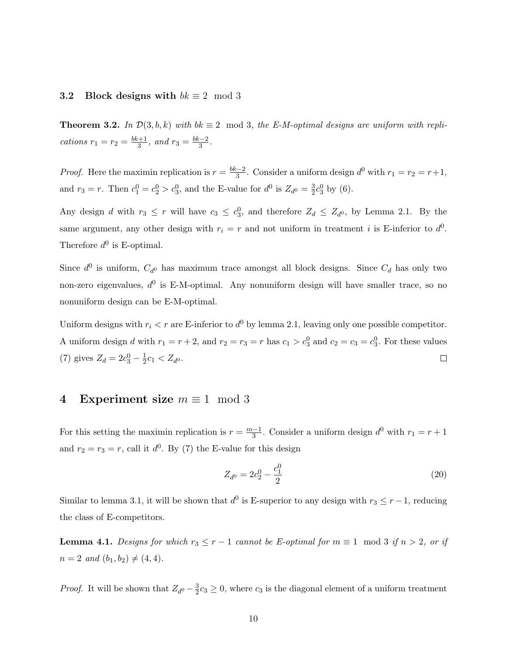#### 3.2 Block designs with  $bk \equiv 2 \mod 3$

**Theorem 3.2.** In  $\mathcal{D}(3, b, k)$  with  $bk \equiv 2 \mod 3$ , the E-M-optimal designs are uniform with replications  $r_1 = r_2 = \frac{bk+1}{3}$  $\frac{k+1}{3}$ , and  $r_3 = \frac{bk-2}{3}$  $\frac{3-2}{3}$ .

*Proof.* Here the maximin replication is  $r = \frac{bk-2}{3}$  $\frac{n-2}{3}$ . Consider a uniform design  $d^0$  with  $r_1 = r_2 = r+1$ , and  $r_3 = r$ . Then  $c_1^0 = c_2^0 > c_3^0$ , and the E-value for  $d^0$  is  $Z_{d^0} = \frac{3}{2}$  $\frac{3}{2}c_3^0$  by (6).

Any design d with  $r_3 \leq r$  will have  $c_3 \leq c_3^0$ , and therefore  $Z_d \leq Z_{d^0}$ , by Lemma 2.1. By the same argument, any other design with  $r_i = r$  and not uniform in treatment i is E-inferior to  $d^0$ . Therefore  $d^0$  is E-optimal.

Since  $d^0$  is uniform,  $C_{d^0}$  has maximum trace amongst all block designs. Since  $C_d$  has only two non-zero eigenvalues,  $d^0$  is E-M-optimal. Any nonuniform design will have smaller trace, so no nonuniform design can be E-M-optimal.

Uniform designs with  $r_i < r$  are E-inferior to  $d^0$  by lemma 2.1, leaving only one possible competitor. A uniform design d with  $r_1 = r + 2$ , and  $r_2 = r_3 = r$  has  $c_1 > c_3^0$  and  $c_2 = c_3 = c_3^0$ . For these values (7) gives  $Z_d = 2c_3^0 - \frac{1}{2}$  $\frac{1}{2}c_1 < Z_{d^0}.$  $\Box$ 

### 4 Experiment size  $m \equiv 1 \mod 3$

For this setting the maximin replication is  $r = \frac{m-1}{3}$  $\frac{-1}{3}$ . Consider a uniform design  $d^0$  with  $r_1 = r + 1$ and  $r_2 = r_3 = r$ , call it  $d^0$ . By (7) the E-value for this design

$$
Z_{d^0} = 2c_2^0 - \frac{c_1^0}{2} \tag{20}
$$

Similar to lemma 3.1, it will be shown that  $d^0$  is E-superior to any design with  $r_3 \le r-1$ , reducing the class of E-competitors.

**Lemma 4.1.** Designs for which  $r_3 \leq r - 1$  cannot be E-optimal for  $m \equiv 1 \mod 3$  if  $n > 2$ , or if  $n = 2$  and  $(b_1, b_2) \neq (4, 4)$ .

*Proof.* It will be shown that  $Z_{d^0} - \frac{3}{2}$  $\frac{3}{2}c_3 \geq 0$ , where  $c_3$  is the diagonal element of a uniform treatment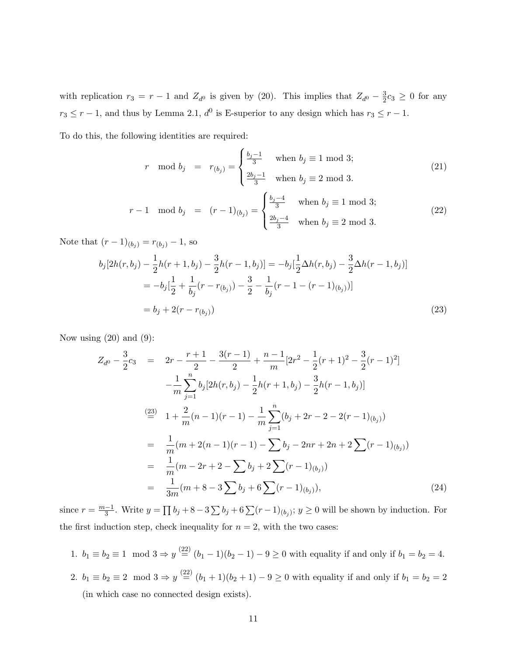with replication  $r_3 = r - 1$  and  $Z_{d^0}$  is given by (20). This implies that  $Z_{d^0} - \frac{3}{2}$  $\frac{3}{2}c_3 \geq 0$  for any  $r_3 \leq r - 1$ , and thus by Lemma 2.1,  $d^0$  is E-superior to any design which has  $r_3 \leq r - 1$ .

To do this, the following identities are required:  $\overline{a}$ 

$$
r \mod b_j = r_{(b_j)} = \begin{cases} \frac{b_j - 1}{3} & \text{when } b_j \equiv 1 \mod 3; \\ \frac{2b_j - 1}{3} & \text{when } b_j \equiv 2 \mod 3. \end{cases}
$$
(21)

$$
r - 1 \mod b_j = (r - 1)_{(b_j)} = \begin{cases} \frac{b_j - 4}{3} & \text{when } b_j \equiv 1 \mod 3; \\ \frac{2b_j - 4}{3} & \text{when } b_j \equiv 2 \mod 3. \end{cases}
$$
(22)

Note that  $(r-1)_{(b_j)} = r_{(b_j)} - 1$ , so

$$
b_j[2h(r, b_j) - \frac{1}{2}h(r+1, b_j) - \frac{3}{2}h(r-1, b_j)] = -b_j[\frac{1}{2}\Delta h(r, b_j) - \frac{3}{2}\Delta h(r-1, b_j)]
$$
  
= 
$$
-b_j[\frac{1}{2} + \frac{1}{b_j}(r - r_{(b_j)}) - \frac{3}{2} - \frac{1}{b_j}(r - 1 - (r - 1)_{(b_j)})]
$$
  
= 
$$
b_j + 2(r - r_{(b_j)})
$$
 (23)

Now using  $(20)$  and  $(9)$ :

$$
Z_{d0} - \frac{3}{2}c_3 = 2r - \frac{r+1}{2} - \frac{3(r-1)}{2} + \frac{n-1}{m}[2r^2 - \frac{1}{2}(r+1)^2 - \frac{3}{2}(r-1)^2]
$$
  
\n
$$
-\frac{1}{m}\sum_{j=1}^n b_j[2h(r, b_j) - \frac{1}{2}h(r+1, b_j) - \frac{3}{2}h(r-1, b_j)]
$$
  
\n
$$
\stackrel{(23)}{=} 1 + \frac{2}{m}(n-1)(r-1) - \frac{1}{m}\sum_{j=1}^n (b_j + 2r - 2 - 2(r-1)_{(b_j)})
$$
  
\n
$$
= \frac{1}{m}(m + 2(n-1)(r-1) - \sum_{j=1}^n b_j - 2nr + 2r + 2\sum_{j=1}^n (r-1)_{(b_j)})
$$
  
\n
$$
= \frac{1}{m}(m - 2r + 2 - \sum_{j=1}^n b_j + 2\sum_{j=1}^n (r-1)_{(b_j)})
$$
  
\n
$$
= \frac{1}{3m}(m + 8 - 3\sum_{j=1}^n b_j + 6\sum_{j=1}^n (r-1)_{(b_j)}),
$$
  
\n(24)

since  $r = \frac{m-1}{3}$  $\frac{-1}{3}$ . Write  $y =$  $\overline{a}$  $b_j + 8 - 3\sum b_j + 6\sum (r-1)_{(b_j)}$ ;  $y \ge 0$  will be shown by induction. For the first induction step, check inequality for  $n = 2$ , with the two cases:

1.  $b_1 \equiv b_2 \equiv 1 \mod 3 \Rightarrow y \stackrel{(22)}{=} (b_1 - 1)(b_2 - 1) - 9 \ge 0$  with equality if and only if  $b_1 = b_2 = 4$ . 2.  $b_1 \equiv b_2 \equiv 2 \mod 3 \Rightarrow y \stackrel{(22)}{=} (b_1 + 1)(b_2 + 1) - 9 \ge 0$  with equality if and only if  $b_1 = b_2 = 2$ (in which case no connected design exists).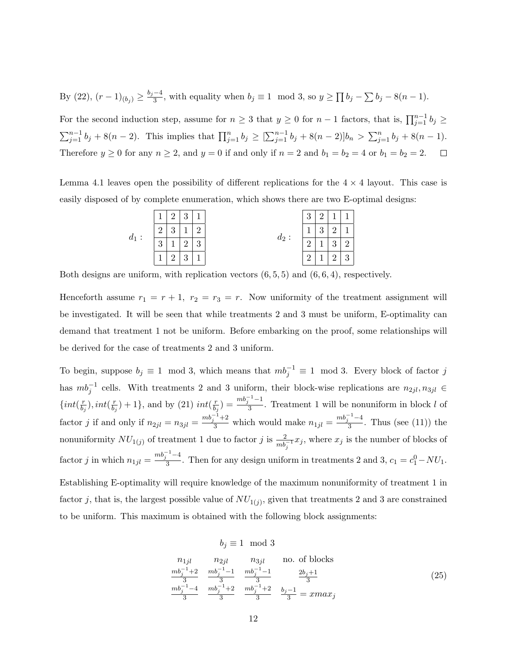By (22),  $(r-1)_{(b_j)} \geq \frac{b_j-4}{3}$  $\frac{-4}{3}$ , with equality when  $b_j \equiv 1 \mod 3$ , so  $y \geq 1$  $\overline{ }$  $b_j - \sum b_j - 8(n-1).$ 

For the second induction step, assume for  $n \geq 3$  that  $y \geq 0$  for  $n-1$  factors, that is,  $\prod_{j=1}^{n-1} b_j \geq$  $\sum_{j=1}^{n-1} b_j + 8(n-2)$ . This implies that  $\prod_{j=1}^{n} b_j \geq [$  $\nabla^{n-1}$  $_{j=1}^{n-1}b_j + 8(n-2)]b_n >$  $\sum_{n=1}^{\infty}$  $\sum_{j=1}^{n} b_j + 8(n-1).$ Therefore  $y \ge 0$  for any  $n \ge 2$ , and  $y = 0$  if and only if  $n = 2$  and  $b_1 = b_2 = 4$  or  $b_1 = b_2 = 2$ .

Lemma 4.1 leaves open the possibility of different replications for the  $4 \times 4$  layout. This case is easily disposed of by complete enumeration, which shows there are two E-optimal designs:



Both designs are uniform, with replication vectors  $(6, 5, 5)$  and  $(6, 6, 4)$ , respectively.

Henceforth assume  $r_1 = r + 1$ ,  $r_2 = r_3 = r$ . Now uniformity of the treatment assignment will be investigated. It will be seen that while treatments 2 and 3 must be uniform, E-optimality can demand that treatment 1 not be uniform. Before embarking on the proof, some relationships will be derived for the case of treatments 2 and 3 uniform.

To begin, suppose  $b_j \equiv 1 \mod 3$ , which means that  $mb_j^{-1} \equiv 1 \mod 3$ . Every block of factor j has  $mb_j^{-1}$  cells. With treatments 2 and 3 uniform, their block-wise replications are  $n_{2jl}, n_{3jl} \in$  $\{int(\frac{r}{b})\}$  $(\frac{r}{b_j})$ , int $(\frac{r}{b_j})$  $\left(\frac{r}{b_j}\right) + 1$ , and by (21) int $\left(\frac{r}{b_j}\right)$  $\frac{r}{b_j}$ ) =  $\frac{mb_j^{-1}-1}{3}$  $\frac{1}{3}$ . Treatment 1 will be nonuniform in block l of factor *j* if and only if  $n_{2jl} = n_{3jl} = \frac{m_{j}^{l-1} + 2}{3}$  which would make  $n_{1jl} = \frac{m_{j}^{l-1} - 4}{3}$  $\frac{1}{3}$ . Thus (see (11)) the nonuniformity  $NU_{1(j)}$  of treatment 1 due to factor j is  $\frac{2}{mb_j^{-1}}x_j$ , where  $x_j$  is the number of blocks of factor *j* in which  $n_{1jl} = \frac{mb_j^{-1}-4}{3}$  $\frac{1}{3}$ . Then for any design uniform in treatments 2 and 3,  $c_1 = c_1^0 - NU_1$ . Establishing E-optimality will require knowledge of the maximum nonuniformity of treatment 1 in factor j, that is, the largest possible value of  $NU_{1(j)}$ , given that treatments 2 and 3 are constrained to be uniform. This maximum is obtained with the following block assignments:

### $b_i \equiv 1 \mod 3$

$$
n_{1jl} \t n_{2jl} \t n_{3jl} \t n_{0. of blocks}
$$
  
\n
$$
\frac{mb_j^{-1}+2}{3} \frac{mb_j^{-1}-1}{3} \frac{mb_j^{-1}-1}{3} \frac{mb_j^{-1}-1}{3} \frac{2b_j+1}{3}
$$
  
\n
$$
\frac{mb_j^{-1}-4}{3} \frac{mb_j^{-1}+2}{3} \frac{mb_j^{-1}+2}{3} \frac{b_j-1}{3} = xmax_j
$$
\n(25)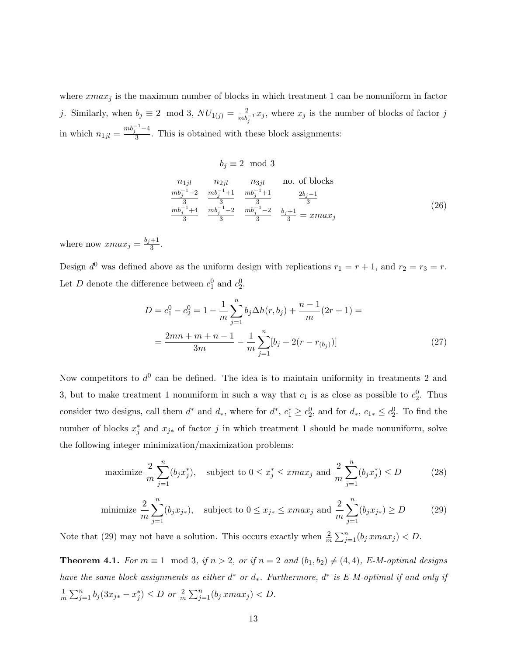where  $xmax_j$  is the maximum number of blocks in which treatment 1 can be nonuniform in factor j. Similarly, when  $b_j \equiv 2 \mod 3$ ,  $NU_{1(j)} = \frac{2}{mb_j^{-1}} x_j$ , where  $x_j$  is the number of blocks of factor j in which  $n_{1jl} = \frac{mb_j^{-1}-4}{3}$  $\frac{1}{3}$ . This is obtained with these block assignments:

$$
b_j \equiv 2 \mod 3
$$
  
\n $n_{1jl}$   $n_{2jl}$   $n_{3jl}$  no. of blocks  
\n $\frac{mb_j^{-1}-2}{3}$   $\frac{mb_j^{-1}+1}{3}$   $\frac{mb_j^{-1}+1}{3}$   $\frac{2b_j-1}{3}$   
\n $\frac{mb_j^{-1}+4}{3}$   $\frac{mb_j^{-1}-2}{3}$   $\frac{mb_j^{-1}-2}{3}$   $\frac{b_j+1}{3} = xmax_j$  (26)

where now  $xmax_j = \frac{b_j+1}{3}$  $\frac{+1}{3}$ .

Design  $d^0$  was defined above as the uniform design with replications  $r_1 = r + 1$ , and  $r_2 = r_3 = r$ . Let D denote the difference between  $c_1^0$  and  $c_2^0$ .

$$
D = c_1^0 - c_2^0 = 1 - \frac{1}{m} \sum_{j=1}^n b_j \Delta h(r, b_j) + \frac{n-1}{m} (2r+1) =
$$
  
= 
$$
\frac{2mn + m + n - 1}{3m} - \frac{1}{m} \sum_{j=1}^n [b_j + 2(r - r_{(b_j)})]
$$
(27)

Now competitors to  $d^0$  can be defined. The idea is to maintain uniformity in treatments 2 and 3, but to make treatment 1 nonuniform in such a way that  $c_1$  is as close as possible to  $c_2^0$ . Thus consider two designs, call them  $d^*$  and  $d_*$ , where for  $d^*$ ,  $c_1^* \geq c_2^0$ , and for  $d_*, c_{1*} \leq c_2^0$ . To find the number of blocks  $x_j^*$  and  $x_{j*}$  of factor j in which treatment 1 should be made nonuniform, solve the following integer minimization/maximization problems:

maximize 
$$
\frac{2}{m} \sum_{j=1}^{n} (b_j x_j^*)
$$
, subject to  $0 \le x_j^* \le x \max_j$  and  $\frac{2}{m} \sum_{j=1}^{n} (b_j x_j^*) \le D$  (28)

minimize 
$$
\frac{2}{m} \sum_{j=1}^{n} (b_j x_{j*}),
$$
 subject to  $0 \le x_{j*} \le x \max_j$  and  $\frac{2}{m} \sum_{j=1}^{n} (b_j x_{j*}) \ge D$  (29)

Note that (29) may not have a solution. This occurs exactly when  $\frac{2}{m}$  $\sum_{n=1}^{\infty}$  $_{j=1}^{n}(b_j \, xmax_j) < D.$ 

**Theorem 4.1.** For  $m \equiv 1 \mod 3$ , if  $n > 2$ , or if  $n = 2$  and  $(b_1, b_2) \neq (4, 4)$ , E-M-optimal designs have the same block assignments as either  $d^*$  or  $d_*$ . Furthermore,  $d^*$  is E-M-optimal if and only if 1  $\overline{m}$  $\sum_{n=1}^{\infty}$  $\sum_{j=1}^{n} b_j (3x_{j*} - x_j^*) \leq D$  or  $\frac{2}{m}$  $\sum_{n=1}^{\infty}$  $_{j=1}^{n}(b_j \, xmax_j) < D.$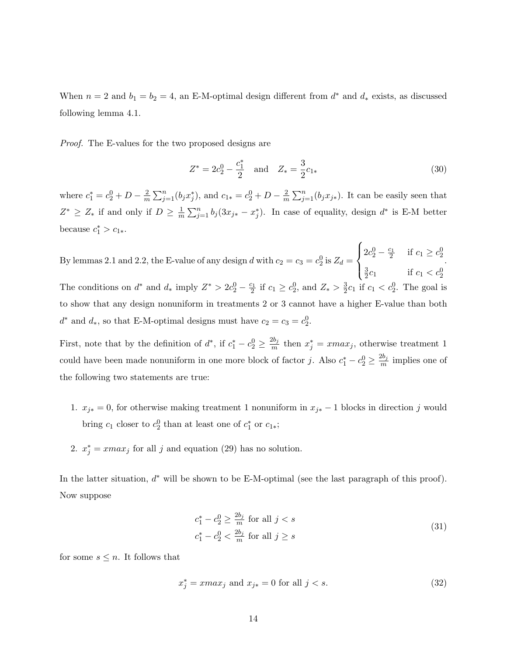When  $n = 2$  and  $b_1 = b_2 = 4$ , an E-M-optimal design different from  $d^*$  and  $d_*$  exists, as discussed following lemma 4.1.

Proof. The E-values for the two proposed designs are

$$
Z^* = 2c_2^0 - \frac{c_1^*}{2} \quad \text{and} \quad Z_* = \frac{3}{2}c_{1*}
$$
 (30)

where  $c_1^* = c_2^0 + D - \frac{2}{m}$  $\overline{m}$  $\sum_{n=1}^{\infty}$  $j=1(b_jx_j^*)$ , and  $c_{1*}=c_2^0+D-\frac{2}{m}$  $\overline{m}$  $\sum_{n=1}^{\infty}$  $_{j=1}^{n}(b_jx_{j*})$ . It can be easily seen that  $Z^* \geq Z_*$  if and only if  $D \geq \frac{1}{m}$  $\overline{m}$  $\sum_{n=1}^{\infty}$  $j=1 \ b_j (3x_{j*} - x_j^*)$ . In case of equality, design  $d^*$  is E-M better because  $c_1^* > c_{1*}$ .

By lemmas 2.1 and 2.2, the E-value of any design d with  $c_2 = c_3 = c_2^0$  is  $Z_d =$  $\overline{a}$  $\left($  $\left| \right|$  $2c_2^0 - \frac{c_1}{2}$  if  $c_1 \ge c_2^0$ 3  $\frac{3}{2}c_1$  if  $c_1 < c_2^0$ . The conditions on  $d^*$  and  $d_*$  imply  $Z^* > 2c_2^0 - \frac{c_1}{2}$  if  $c_1 \geq c_2^0$ , and  $Z_* > \frac{3}{2}$  $\frac{3}{2}c_1$  if  $c_1 < c_2^0$ . The goal is to show that any design nonuniform in treatments 2 or 3 cannot have a higher E-value than both  $d^*$  and  $d_*$ , so that E-M-optimal designs must have  $c_2 = c_3 = c_2^0$ .

First, note that by the definition of  $d^*$ , if  $c_1^* - c_2^0 \geq \frac{2b_j}{m}$  $\frac{2b_j}{m}$  then  $x_j^* = xmax_j$ , otherwise treatment 1 could have been made nonuniform in one more block of factor j. Also  $c_1^* - c_2^0 \ge \frac{2b_j}{m}$  $\frac{2\sigma_j}{m}$  implies one of the following two statements are true:

- 1.  $x_{j*} = 0$ , for otherwise making treatment 1 nonuniform in  $x_{j*} 1$  blocks in direction j would bring  $c_1$  closer to  $c_2^0$  than at least one of  $c_1^*$  or  $c_{1*}$ ;
- 2.  $x_j^* = \text{max}_j$  for all j and equation (29) has no solution.

In the latter situation,  $d^*$  will be shown to be E-M-optimal (see the last paragraph of this proof). Now suppose

$$
c_1^* - c_2^0 \ge \frac{2b_j}{m} \text{ for all } j < s
$$
\n
$$
c_1^* - c_2^0 < \frac{2b_j}{m} \text{ for all } j \ge s
$$
\n
$$
(31)
$$

for some  $s \leq n$ . It follows that

$$
x_j^* = xmax_j \text{ and } x_{j*} = 0 \text{ for all } j < s. \tag{32}
$$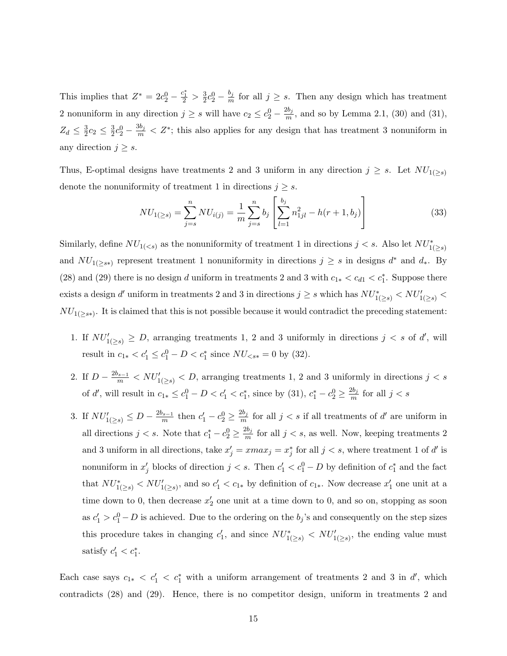This implies that  $Z^* = 2c_2^0 - \frac{c_1^*}{2} > \frac{3}{2}$  $\frac{3}{2}c_2^0 - \frac{b_j}{m}$  $\frac{\partial j}{m}$  for all  $j \geq s$ . Then any design which has treatment 2 nonuniform in any direction  $j \geq s$  will have  $c_2 \leq c_2^0 - \frac{2b_j}{m}$  $\frac{20j}{m}$ , and so by Lemma 2.1, (30) and (31),  $Z_d \leq \frac{3}{2}$  $\frac{3}{2}c_2 \leq \frac{3}{2}$  $\frac{3}{2}c_2^0 - \frac{3b_j}{m} < Z^*$ ; this also applies for any design that has treatment 3 nonuniform in any direction  $j \geq s$ .

Thus, E-optimal designs have treatments 2 and 3 uniform in any direction  $j \geq s$ . Let  $NU_{1(\geq s)}$ denote the nonuniformity of treatment 1 in directions  $j \geq s$ .  $\frac{1}{2}$  $\overline{a}$ 

$$
NU_{1(\geq s)} = \sum_{j=s}^{n} NU_{i(j)} = \frac{1}{m} \sum_{j=s}^{n} b_j \left[ \sum_{l=1}^{b_j} n_{1jl}^2 - h(r+1, b_j) \right]
$$
(33)

Similarly, define  $NU_{1(< s)}$  as the nonuniformity of treatment 1 in directions  $j < s$ . Also let  $NU_{1(\geq s)}^*$ and  $NU_{1(\geq s*)}$  represent treatment 1 nonuniformity in directions  $j \geq s$  in designs  $d^*$  and  $d_*$ . By (28) and (29) there is no design d uniform in treatments 2 and 3 with  $c_{1*} < c_{d1} < c_1^*$ . Suppose there exists a design d'uniform in treatments 2 and 3 in directions  $j \geq s$  which has  $NU^*_{1(\geq s)} < NU'_{1(\geq s)}$  $NU_{1(\geq s\ast)}$ . It is claimed that this is not possible because it would contradict the preceding statement:

- 1. If  $NU'_{1(\geq s)} \geq D$ , arranging treatments 1, 2 and 3 uniformly in directions  $j < s$  of d', will result in  $c_{1*} < c_1' \le c_1^0 - D < c_1^*$  since  $NU_{< s*} = 0$  by (32).
- 2. If  $D \frac{2b_{s-1}}{m}$  <  $NU'_{1(\geq s)}$  < D, arranging treatments 1, 2 and 3 uniformly in directions  $j < s$ of d', will result in  $c_{1*} \le c_1^0 - D < c_1' < c_1^*$ , since by (31),  $c_1^* - c_2^0 \ge \frac{2b_j}{m}$  $\frac{2b_j}{m}$  for all  $j < s$
- 3. If  $NU'_{1(\geq s)} \leq D \frac{2b_{s-1}}{m}$  $\frac{b_{s-1}}{m}$  then  $c'_1 - c_2^0 \ge \frac{2b_j}{m}$  $\frac{2b_j}{m}$  for all  $j < s$  if all treatments of d' are uniform in all directions  $j < s$ . Note that  $c_1^* - c_2^0 \ge \frac{2b_j}{m}$  $\frac{1}{m}$  for all  $j < s$ , as well. Now, keeping treatments 2 and 3 uniform in all directions, take  $x'_{j} = xmax_{j} = x_{j}^{*}$  for all  $j < s$ , where treatment 1 of d' is nonuniform in  $x'_j$  blocks of direction  $j < s$ . Then  $c'_1 < c_1^0 - D$  by definition of  $c_1^*$  and the fact that  $NU^*_{1(\geq s)} < NU'_{1(\geq s)}$ , and so  $c'_1 < c_{1*}$  by definition of  $c_{1*}$ . Now decrease  $x'_1$  one unit at a time down to 0, then decrease  $x_2'$  one unit at a time down to 0, and so on, stopping as soon as  $c_1 > c_1^0 - D$  is achieved. Due to the ordering on the  $b_j$ 's and consequently on the step sizes this procedure takes in changing  $c'_1$ , and since  $NU^*_{1(\geq s)} < NU'_{1(\geq s)}$ , the ending value must satisfy  $c'_1 < c_1^*$ .

Each case says  $c_{1*} < c'_1 < c^*$  with a uniform arrangement of treatments 2 and 3 in d', which contradicts (28) and (29). Hence, there is no competitor design, uniform in treatments 2 and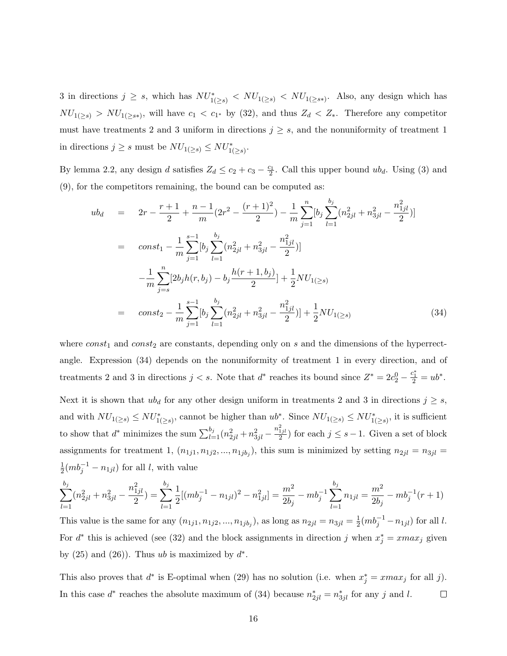3 in directions  $j \geq s$ , which has  $NU_{1(\geq s)}^* < NU_{1(\geq s)}^* < NU_{1(\geq s^*)}$ . Also, any design which has  $NU_{1(\geq s)} > NU_{1(\geq s*)}$ , will have  $c_1 < c_{1*}$  by (32), and thus  $Z_d < Z_*$ . Therefore any competitor must have treatments 2 and 3 uniform in directions  $j \geq s$ , and the nonuniformity of treatment 1 in directions  $j \geq s$  must be  $NU_{1(\geq s)} \leq NU_{1(\geq s)}^*$ .

By lemma 2.2, any design d satisfies  $Z_d \le c_2 + c_3 - \frac{c_1}{2}$ . Call this upper bound  $ub_d$ . Using (3) and (9), for the competitors remaining, the bound can be computed as:

$$
ub_d = 2r - \frac{r+1}{2} + \frac{n-1}{m}(2r^2 - \frac{(r+1)^2}{2}) - \frac{1}{m}\sum_{j=1}^n [b_j \sum_{l=1}^{b_j} (n_{2jl}^2 + n_{3jl}^2 - \frac{n_{1jl}^2}{2})]
$$
  
\n
$$
= const_1 - \frac{1}{m}\sum_{j=1}^{s-1} [b_j \sum_{l=1}^{b_j} (n_{2jl}^2 + n_{3jl}^2 - \frac{n_{1jl}^2}{2})]
$$
  
\n
$$
- \frac{1}{m}\sum_{j=s}^n [2b_j h(r, b_j) - b_j \frac{h(r+1, b_j)}{2}] + \frac{1}{2} N U_{1(\geq s)}
$$
  
\n
$$
= const_2 - \frac{1}{m}\sum_{j=1}^{s-1} [b_j \sum_{l=1}^{b_j} (n_{2jl}^2 + n_{3jl}^2 - \frac{n_{1jl}^2}{2})] + \frac{1}{2} N U_{1(\geq s)}
$$
(34)

where  $const_1$  and  $const_2$  are constants, depending only on s and the dimensions of the hyperrectangle. Expression (34) depends on the nonuniformity of treatment 1 in every direction, and of treatments 2 and 3 in directions  $j < s$ . Note that  $d^*$  reaches its bound since  $Z^* = 2c_2^0 - \frac{c_1^*}{2} = ub^*$ . Next it is shown that  $ub_d$  for any other design uniform in treatments 2 and 3 in directions  $j \geq s$ , and with  $NU_{1(\geq s)} \leq NU^*_{1(\geq s)}$ , cannot be higher than  $ub^*$ . Since  $NU_{1(\geq s)} \leq NU^*_{1(\geq s)}$ , it is sufficient to show that  $d^*$  minimizes the sum  $\sum_{l=1}^{b_j} (n_{2jl}^2 + n_{3jl}^2 - \frac{n_{1jl}^2}{2})$  for each  $j \leq s-1$ . Given a set of block assignments for treatment 1,  $(n_{1j1}, n_{1j2}, ..., n_{1jb_j})$ , this sum is minimized by setting  $n_{2jl} = n_{3jl} =$ 1  $\frac{1}{2}(mb_j^{-1} - n_{1jl})$  for all l, with value

$$
\sum_{l=1}^{b_j} (n_{2jl}^2 + n_{3jl}^2 - \frac{n_{1jl}^2}{2}) = \sum_{l=1}^{b_j} \frac{1}{2} [(mb_j^{-1} - n_{1jl})^2 - n_{1jl}^2] = \frac{m^2}{2b_j} - mb_j^{-1} \sum_{l=1}^{b_j} n_{1jl} = \frac{m^2}{2b_j} - mb_j^{-1}(r+1)
$$

This value is the same for any  $(n_{1j1}, n_{1j2}, ..., n_{1jb_j})$ , as long as  $n_{2jl} = n_{3jl} = \frac{1}{2}$  $\frac{1}{2}(mb_j^{-1} - n_{1jl})$  for all l. For  $d^*$  this is achieved (see (32) and the block assignments in direction j when  $x_j^* = xmax_j$  given by  $(25)$  and  $(26)$ ). Thus ub is maximized by  $d^*$ .

This also proves that  $d^*$  is E-optimal when (29) has no solution (i.e. when  $x_j^* = \text{max}_j$  for all j). In this case  $d^*$  reaches the absolute maximum of (34) because  $n^*_{2jl} = n^*_{3jl}$  for any j and l.  $\Box$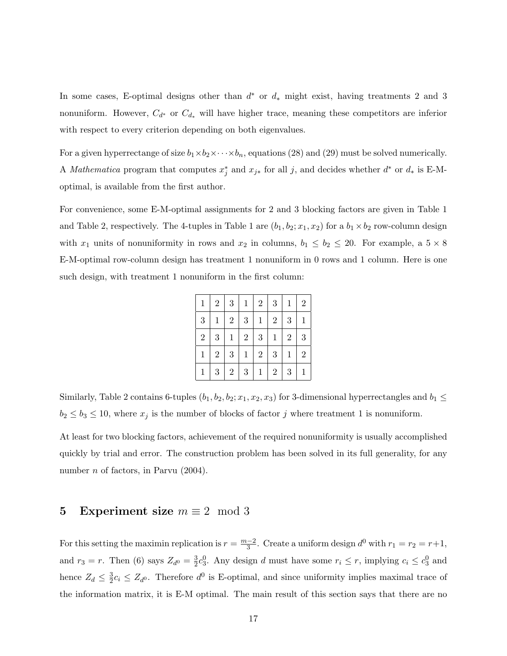In some cases, E-optimal designs other than  $d^*$  or  $d_*$  might exist, having treatments 2 and 3 nonuniform. However,  $C_{d^*}$  or  $C_{d_*}$  will have higher trace, meaning these competitors are inferior with respect to every criterion depending on both eigenvalues.

For a given hyperrectange of size  $b_1 \times b_2 \times \cdots \times b_n$ , equations (28) and (29) must be solved numerically. A Mathematica program that computes  $x_j^*$  and  $x_{j*}$  for all j, and decides whether  $d^*$  or  $d_*$  is E-Moptimal, is available from the first author.

For convenience, some E-M-optimal assignments for 2 and 3 blocking factors are given in Table 1 and Table 2, respectively. The 4-tuples in Table 1 are  $(b_1, b_2; x_1, x_2)$  for a  $b_1 \times b_2$  row-column design with  $x_1$  units of nonuniformity in rows and  $x_2$  in columns,  $b_1 \leq b_2 \leq 20$ . For example, a  $5 \times 8$ E-M-optimal row-column design has treatment 1 nonuniform in 0 rows and 1 column. Here is one such design, with treatment 1 nonuniform in the first column:

| $\mathbf{1}$ | $\overline{2}$ | $\sqrt{3}$   | $\mathbf{1}$ | $\overline{2}$ | $\sqrt{3}$     | $\mathbf{1}$ | $\overline{2}$ |
|--------------|----------------|--------------|--------------|----------------|----------------|--------------|----------------|
| 3            | $\mathbf{1}$   | $\sqrt{2}$   | 3            | $\mathbf{1}$   | $\sqrt{2}$     | 3            | $\mathbf{1}$   |
| $\sqrt{2}$   | 3              | $\mathbf{1}$ | $\sqrt{2}$   | 3              | $\mathbf{1}$   | $\sqrt{2}$   | 3              |
| $\mathbf{1}$ | $\overline{2}$ | $\sqrt{3}$   | $\mathbf{1}$ | $\overline{2}$ | $\sqrt{3}$     | $\mathbf{1}$ | $\overline{2}$ |
| $\mathbf 1$  | 3              | $\sqrt{2}$   | $\sqrt{3}$   | $\mathbf{1}$   | $\overline{2}$ | $\sqrt{3}$   | $\mathbf{1}$   |

Similarly, Table 2 contains 6-tuples  $(b_1, b_2, b_2; x_1, x_2, x_3)$  for 3-dimensional hyperrectangles and  $b_1 \leq$  $b_2 \leq b_3 \leq 10$ , where  $x_j$  is the number of blocks of factor j where treatment 1 is nonuniform.

At least for two blocking factors, achievement of the required nonuniformity is usually accomplished quickly by trial and error. The construction problem has been solved in its full generality, for any number *n* of factors, in Parvu  $(2004)$ .

# 5 Experiment size  $m \equiv 2 \mod 3$

For this setting the maximin replication is  $r = \frac{m-2}{3}$  $\frac{-2}{3}$ . Create a uniform design  $d^0$  with  $r_1 = r_2 = r + 1$ , and  $r_3 = r$ . Then (6) says  $Z_{d^0} = \frac{3}{2}$  $\frac{3}{2}c_3^0$ . Any design d must have some  $r_i \leq r$ , implying  $c_i \leq c_3^0$  and hence  $Z_d \leq \frac{3}{2}$  $\frac{3}{2}c_i \leq Z_d$ . Therefore  $d^0$  is E-optimal, and since uniformity implies maximal trace of the information matrix, it is E-M optimal. The main result of this section says that there are no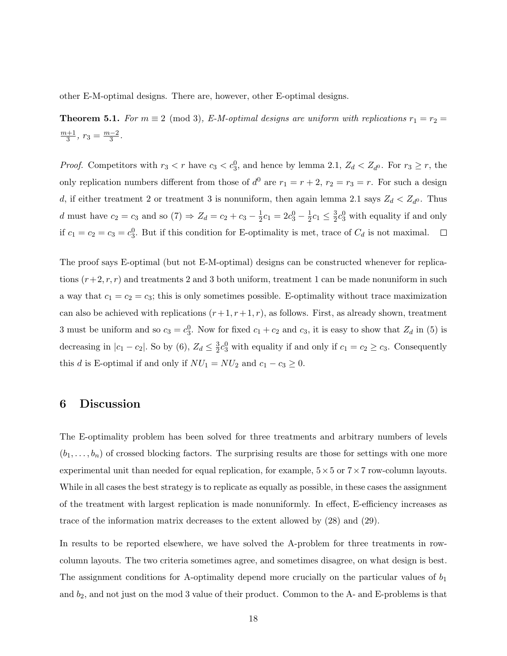other E-M-optimal designs. There are, however, other E-optimal designs.

**Theorem 5.1.** For  $m \equiv 2 \pmod{3}$ , E-M-optimal designs are uniform with replications  $r_1 = r_2$  $m+1$  $\frac{n+1}{3}, r_3 = \frac{m-2}{3}$  $\frac{-2}{3}$ .

*Proof.* Competitors with  $r_3 < r$  have  $c_3 < c_3^0$ , and hence by lemma 2.1,  $Z_d < Z_{d0}$ . For  $r_3 \ge r$ , the only replication numbers different from those of  $d^0$  are  $r_1 = r + 2$ ,  $r_2 = r_3 = r$ . For such a design d, if either treatment 2 or treatment 3 is nonuniform, then again lemma 2.1 says  $Z_d < Z_{d0}$ . Thus d must have  $c_2 = c_3$  and so  $(7) \Rightarrow Z_d = c_2 + c_3 - \frac{1}{2}$  $\frac{1}{2}c_1 = 2c_3^0 - \frac{1}{2}$  $\frac{1}{2}c_1 \leq \frac{3}{2}$  $\frac{3}{2}c_3^0$  with equality if and only if  $c_1 = c_2 = c_3 = c_3^0$ . But if this condition for E-optimality is met, trace of  $C_d$  is not maximal.  $\Box$ 

The proof says E-optimal (but not E-M-optimal) designs can be constructed whenever for replications  $(r+2, r, r)$  and treatments 2 and 3 both uniform, treatment 1 can be made nonuniform in such a way that  $c_1 = c_2 = c_3$ ; this is only sometimes possible. E-optimality without trace maximization can also be achieved with replications  $(r+1, r+1, r)$ , as follows. First, as already shown, treatment 3 must be uniform and so  $c_3 = c_3^0$ . Now for fixed  $c_1 + c_2$  and  $c_3$ , it is easy to show that  $Z_d$  in (5) is decreasing in  $|c_1 - c_2|$ . So by (6),  $Z_d \leq \frac{3}{2}$  $\frac{3}{2}c_3^0$  with equality if and only if  $c_1 = c_2 \ge c_3$ . Consequently this d is E-optimal if and only if  $NU_1 = NU_2$  and  $c_1 - c_3 \ge 0$ .

## 6 Discussion

The E-optimality problem has been solved for three treatments and arbitrary numbers of levels  $(b_1, \ldots, b_n)$  of crossed blocking factors. The surprising results are those for settings with one more experimental unit than needed for equal replication, for example,  $5 \times 5$  or  $7 \times 7$  row-column layouts. While in all cases the best strategy is to replicate as equally as possible, in these cases the assignment of the treatment with largest replication is made nonuniformly. In effect, E-efficiency increases as trace of the information matrix decreases to the extent allowed by (28) and (29).

In results to be reported elsewhere, we have solved the A-problem for three treatments in rowcolumn layouts. The two criteria sometimes agree, and sometimes disagree, on what design is best. The assignment conditions for A-optimality depend more crucially on the particular values of  $b_1$ and  $b_2$ , and not just on the mod 3 value of their product. Common to the A- and E-problems is that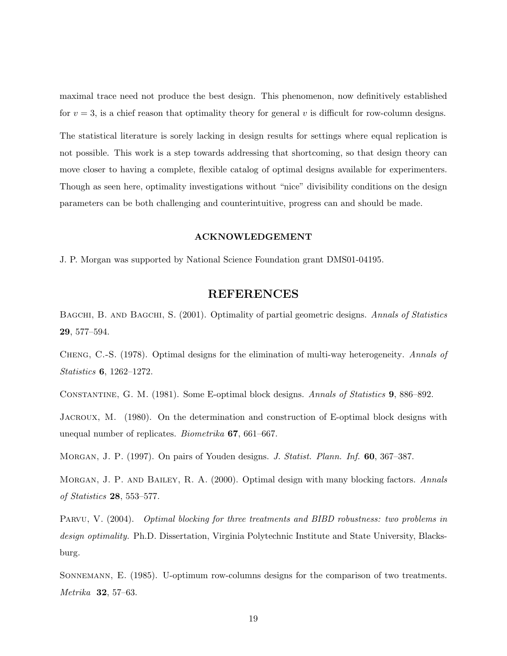maximal trace need not produce the best design. This phenomenon, now definitively established for  $v = 3$ , is a chief reason that optimality theory for general v is difficult for row-column designs.

The statistical literature is sorely lacking in design results for settings where equal replication is not possible. This work is a step towards addressing that shortcoming, so that design theory can move closer to having a complete, flexible catalog of optimal designs available for experimenters. Though as seen here, optimality investigations without "nice" divisibility conditions on the design parameters can be both challenging and counterintuitive, progress can and should be made.

### ACKNOWLEDGEMENT

J. P. Morgan was supported by National Science Foundation grant DMS01-04195.

## REFERENCES

BAGCHI, B. AND BAGCHI, S. (2001). Optimality of partial geometric designs. Annals of Statistics 29, 577–594.

Cheng, C.-S. (1978). Optimal designs for the elimination of multi-way heterogeneity. Annals of Statistics 6, 1262–1272.

Constantine, G. M. (1981). Some E-optimal block designs. Annals of Statistics 9, 886–892.

Jacroux, M. (1980). On the determination and construction of E-optimal block designs with unequal number of replicates. Biometrika 67, 661–667.

Morgan, J. P. (1997). On pairs of Youden designs. J. Statist. Plann. Inf. 60, 367–387.

MORGAN, J. P. AND BAILEY, R. A. (2000). Optimal design with many blocking factors. Annals of Statistics 28, 553–577.

PARVU, V. (2004). *Optimal blocking for three treatments and BIBD robustness: two problems in* design optimality. Ph.D. Dissertation, Virginia Polytechnic Institute and State University, Blacksburg.

SONNEMANN, E. (1985). U-optimum row-columns designs for the comparison of two treatments. Metrika 32, 57–63.